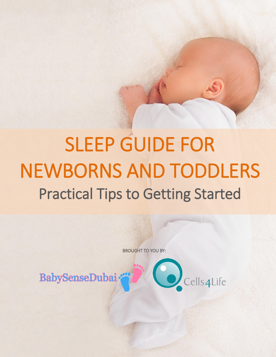## SLEEP GUIDE FOR NEWBORNS AND TODDLERS Practical Tips to Getting Started

BROUGHT TO YOU BY:

Cells4Life

**BabySenseDubai**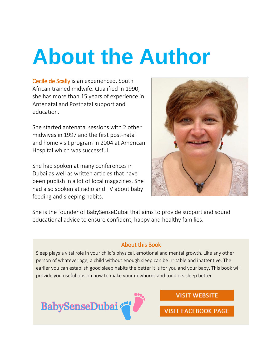## **About the Author**

Cecile de Scally is an experienced, South African trained midwife. Qualified in 1990, she has more than 15 years of experience in Antenatal and Postnatal support and education.

She started antenatal sessions with 2 other midwives in 1997 and the first post-natal and home visit program in 2004 at American Hospital which was successful.

She had spoken at many conferences in Dubai as well as written articles that have been publish in a lot of local magazines. She had also spoken at radio and TV about baby feeding and sleeping habits.



She is the founder of BabySenseDubai that aims to provide support and sound educational advice to ensure confident, happy and healthy families.

#### About this Book

Sleep plays a vital role in your child's physical, emotional and mental growth. Like any other person of whatever age, a child without enough sleep can be irritable and inattentive. The earlier you can establish good sleep habits the better it is for you and your baby. This book will provide you useful tips on how to make your newborns and toddlers sleep better.



**VISIT WEBSITE** 

**VISIT FACEBOOK PAGE**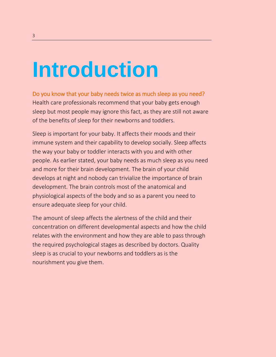## **Introduction**

Do you know that your baby needs twice as much sleep as you need? Health care professionals recommend that your baby gets enough sleep but most people may ignore this fact, as they are still not aware of the benefits of sleep for their newborns and toddlers.

Sleep is important for your baby. It affects their moods and their immune system and their capability to develop socially. Sleep affects the way your baby or toddler interacts with you and with other people. As earlier stated, your baby needs as much sleep as you need and more for their brain development. The brain of your child develops at night and nobody can trivialize the importance of brain development. The brain controls most of the anatomical and physiological aspects of the body and so as a parent you need to ensure adequate sleep for your child.

The amount of sleep affects the alertness of the child and their concentration on different developmental aspects and how the child relates with the environment and how they are able to pass through the required psychological stages as described by doctors. Quality sleep is as crucial to your newborns and toddlers as is the nourishment you give them.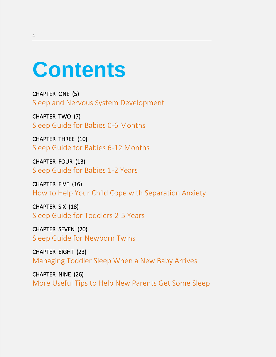### **Contents**

CHAPTER ONE (5) Sleep and Nervous System Development

CHAPTER TWO (7) Sleep Guide for Babies 0-6 Months

CHAPTER THREE (10) Sleep Guide for Babies 6-12 Months

CHAPTER FOUR (13) Sleep Guide for Babies 1-2 Years

CHAPTER FIVE (16) How to Help Your Child Cope with Separation Anxiety

CHAPTER SIX (18) Sleep Guide for Toddlers 2-5 Years

CHAPTER SEVEN (20) Sleep Guide for Newborn Twins

CHAPTER EIGHT (23) Managing Toddler Sleep When a New Baby Arrives

CHAPTER NINE (26) More Useful Tips to Help New Parents Get Some Sleep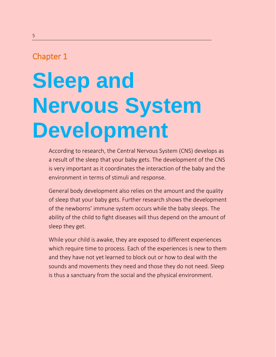# **Sleep and Nervous System Development**

According to research, the Central Nervous System (CNS) develops as a result of the sleep that your baby gets. The development of the CNS is very important as it coordinates the interaction of the baby and the environment in terms of stimuli and response.

General body development also relies on the amount and the quality of sleep that your baby gets. Further research shows the development of the newborns' immune system occurs while the baby sleeps. The ability of the child to fight diseases will thus depend on the amount of sleep they get.

While your child is awake, they are exposed to different experiences which require time to process. Each of the experiences is new to them and they have not yet learned to block out or how to deal with the sounds and movements they need and those they do not need. Sleep is thus a sanctuary from the social and the physical environment.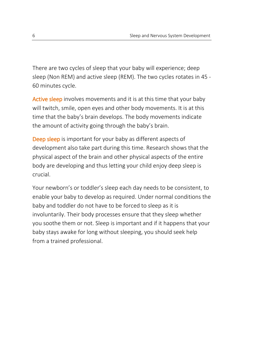There are two cycles of sleep that your baby will experience; deep sleep (Non REM) and active sleep (REM). The two cycles rotates in 45 - 60 minutes cycle.

Active sleep involves movements and it is at this time that your baby will twitch, smile, open eyes and other body movements. It is at this time that the baby's brain develops. The body movements indicate the amount of activity going through the baby's brain.

Deep sleep is important for your baby as different aspects of development also take part during this time. Research shows that the physical aspect of the brain and other physical aspects of the entire body are developing and thus letting your child enjoy deep sleep is crucial.

Your newborn's or toddler's sleep each day needs to be consistent, to enable your baby to develop as required. Under normal conditions the baby and toddler do not have to be forced to sleep as it is involuntarily. Their body processes ensure that they sleep whether you soothe them or not. Sleep is important and if it happens that your baby stays awake for long without sleeping, you should seek help from a trained professional.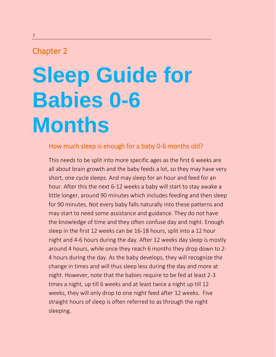## **Sleep Guide for Babies 0-6 Months**

### How much sleep is enough for a baby 0-6 months old?

This needs to be split into more specific ages as the first 6 weeks are all about brain growth and the baby feeds a lot, so they may have very short, one cycle sleeps. And may sleep for an hour and feed for an hour. After this the next 6-12 weeks a baby will start to stay awake a little longer, around 90 minutes which includes feeding and then sleep for 90 minutes. Not every baby falls naturally into these patterns and may start to need some assistance and guidance. They do not have the knowledge of time and they often confuse day and night. Enough sleep in the first 12 weeks can be 16-18 hours, split into a 12 hour night and 4-6 hours during the day. After 12 weeks day sleep is mostly around 4 hours, while once they reach 6 months they drop down to 2- 4 hours during the day. As the baby develops, they will recognize the change in times and will thus sleep less during the day and more at night. However, note that the babies require to be fed at least 2-3 times a night, up till 6 weeks and at least twice a night up till 12 weeks, they will only drop to one night feed after 12 weeks. Five straight hours of sleep is often referred to as through the night sleeping.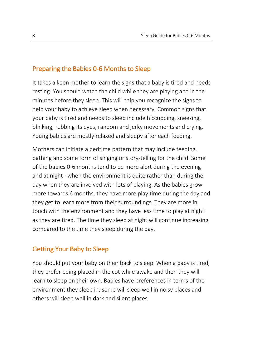### Preparing the Babies 0-6 Months to Sleep

It takes a keen mother to learn the signs that a baby is tired and needs resting. You should watch the child while they are playing and in the minutes before they sleep. This will help you recognize the signs to help your baby to achieve sleep when necessary. Common signs that your baby is tired and needs to sleep include hiccupping, sneezing, blinking, rubbing its eyes, random and jerky movements and crying. Young babies are mostly relaxed and sleepy after each feeding.

Mothers can initiate a bedtime pattern that may include feeding, bathing and some form of singing or story-telling for the child. Some of the babies 0-6 months tend to be more alert during the evening and at night– when the environment is quite rather than during the day when they are involved with lots of playing. As the babies grow more towards 6 months, they have more play time during the day and they get to learn more from their surroundings. They are more in touch with the environment and they have less time to play at night as they are tired. The time they sleep at night will continue increasing compared to the time they sleep during the day.

#### Getting Your Baby to Sleep

You should put your baby on their back to sleep. When a baby is tired, they prefer being placed in the cot while awake and then they will learn to sleep on their own. Babies have preferences in terms of the environment they sleep in; some will sleep well in noisy places and others will sleep well in dark and silent places.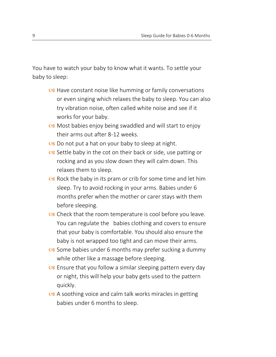You have to watch your baby to know what it wants. To settle your baby to sleep:

- $\alpha$  Have constant noise like humming or family conversations or even singing which relaxes the baby to sleep. You can also try vibration noise, often called white noise and see if it works for your baby.
- **S** Most babies enjoy being swaddled and will start to enjoy their arms out after 8-12 weeks.
- $\infty$  Do not put a hat on your baby to sleep at night.
- $\alpha$  Settle baby in the cot on their back or side, use patting or rocking and as you slow down they will calm down. This relaxes them to sleep.
- $\alpha$  Rock the baby in its pram or crib for some time and let him sleep. Try to avoid rocking in your arms. Babies under 6 months prefer when the mother or carer stays with them before sleeping.
- $\alpha$  Check that the room temperature is cool before you leave. You can regulate the babies clothing and covers to ensure that your baby is comfortable. You should also ensure the baby is not wrapped too tight and can move their arms.
- $\alpha$  Some babies under 6 months may prefer sucking a dummy while other like a massage before sleeping.
- $\alpha$  Ensure that you follow a similar sleeping pattern every day or night, this will help your baby gets used to the pattern quickly.
- $\alpha$  A soothing voice and calm talk works miracles in getting babies under 6 months to sleep.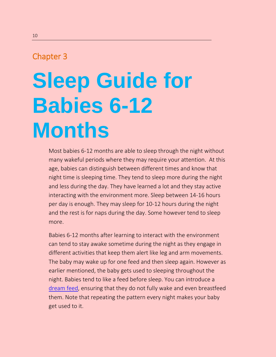## **Sleep Guide for Babies 6-12 Months**

Most babies 6-12 months are able to sleep through the night without many wakeful periods where they may require your attention. At this age, babies can distinguish between different times and know that night time is sleeping time. They tend to sleep more during the night and less during the day. They have learned a lot and they stay active interacting with the environment more. Sleep between 14-16 hours per day is enough. They may sleep for 10-12 hours during the night and the rest is for naps during the day. Some however tend to sleep more.

Babies 6-12 months after learning to interact with the environment can tend to stay awake sometime during the night as they engage in different activities that keep them alert like leg and arm movements. The baby may wake up for one feed and then sleep again. However as earlier mentioned, the baby gets used to sleeping throughout the night. Babies tend to like a feed before sleep. You can introduce a [dream feed,](http://www.saveoursleep.com/free-reading/dreamfeed/) ensuring that they do not fully wake and even breastfeed them. Note that repeating the pattern every night makes your baby get used to it.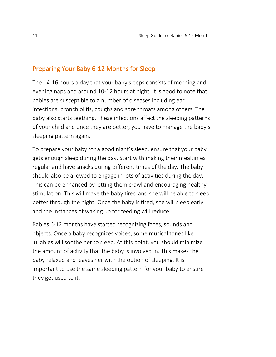### Preparing Your Baby 6-12 Months for Sleep

The 14-16 hours a day that your baby sleeps consists of morning and evening naps and around 10-12 hours at night. It is good to note that babies are susceptible to a number of diseases including ear infections, bronchiolitis, coughs and sore throats among others. The baby also starts teething. These infections affect the sleeping patterns of your child and once they are better, you have to manage the baby's sleeping pattern again.

To prepare your baby for a good night's sleep, ensure that your baby gets enough sleep during the day. Start with making their mealtimes regular and have snacks during different times of the day. The baby should also be allowed to engage in lots of activities during the day. This can be enhanced by letting them crawl and encouraging healthy stimulation. This will make the baby tired and she will be able to sleep better through the night. Once the baby is tired, she will sleep early and the instances of waking up for feeding will reduce.

Babies 6-12 months have started recognizing faces, sounds and objects. Once a baby recognizes voices, some musical tones like lullabies will soothe her to sleep. At this point, you should minimize the amount of activity that the baby is involved in. This makes the baby relaxed and leaves her with the option of sleeping. It is important to use the same sleeping pattern for your baby to ensure they get used to it.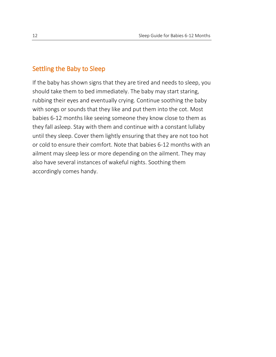#### Settling the Baby to Sleep

If the baby has shown signs that they are tired and needs to sleep, you should take them to bed immediately. The baby may start staring, rubbing their eyes and eventually crying. Continue soothing the baby with songs or sounds that they like and put them into the cot. Most babies 6-12 months like seeing someone they know close to them as they fall asleep. Stay with them and continue with a constant lullaby until they sleep. Cover them lightly ensuring that they are not too hot or cold to ensure their comfort. Note that babies 6-12 months with an ailment may sleep less or more depending on the ailment. They may also have several instances of wakeful nights. Soothing them accordingly comes handy.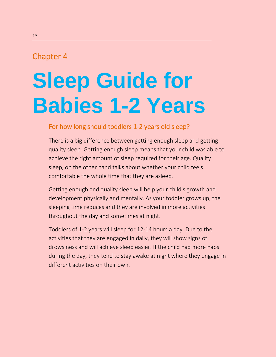## **Sleep Guide for Babies 1-2 Years**

#### For how long should toddlers 1-2 years old sleep?

There is a big difference between getting enough sleep and getting quality sleep. Getting enough sleep means that your child was able to achieve the right amount of sleep required for their age. Quality sleep, on the other hand talks about whether your child feels comfortable the whole time that they are asleep.

Getting enough and quality sleep will help your child's growth and development physically and mentally. As your toddler grows up, the sleeping time reduces and they are involved in more activities throughout the day and sometimes at night.

Toddlers of 1-2 years will sleep for 12-14 hours a day. Due to the activities that they are engaged in daily, they will show signs of drowsiness and will achieve sleep easier. If the child had more naps during the day, they tend to stay awake at night where they engage in different activities on their own.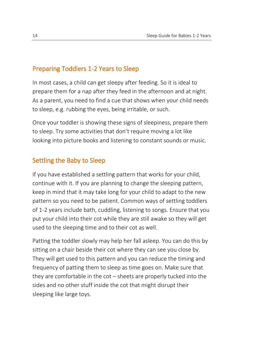#### Preparing Toddlers 1-2 Years to Sleep

In most cases, a child can get sleepy after feeding. So it is ideal to prepare them for a nap after they feed in the afternoon and at night. As a parent, you need to find a cue that shows when your child needs to sleep, e.g. rubbing the eyes, being irritable, or such.

Once your toddler is showing these signs of sleepiness, prepare them to sleep. Try some activities that don't require moving a lot like looking into picture books and listening to constant sounds or music.

### Settling the Baby to Sleep

If you have established a settling pattern that works for your child, continue with it. If you are planning to change the sleeping pattern, keep in mind that it may take long for your child to adapt to the new pattern so you need to be patient. Common ways of settling toddlers of 1-2 years include bath, cuddling, listening to songs. Ensure that you put your child into their cot while they are still awake so they will get used to the sleeping time and to their cot as well.

Patting the toddler slowly may help her fall asleep. You can do this by sitting on a chair beside their cot where they can see you close by. They will get used to this pattern and you can reduce the timing and frequency of patting them to sleep as time goes on. Make sure that they are comfortable in the cot – sheets are properly tucked into the sides and no other stuff inside the cot that might disrupt their sleeping like large toys.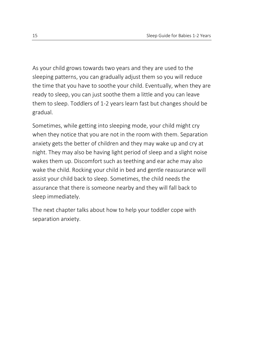As your child grows towards two years and they are used to the sleeping patterns, you can gradually adjust them so you will reduce the time that you have to soothe your child. Eventually, when they are ready to sleep, you can just soothe them a little and you can leave them to sleep. Toddlers of 1-2 years learn fast but changes should be gradual.

Sometimes, while getting into sleeping mode, your child might cry when they notice that you are not in the room with them. Separation anxiety gets the better of children and they may wake up and cry at night. They may also be having light period of sleep and a slight noise wakes them up. Discomfort such as teething and ear ache may also wake the child. Rocking your child in bed and gentle reassurance will assist your child back to sleep. Sometimes, the child needs the assurance that there is someone nearby and they will fall back to sleep immediately.

The next chapter talks about how to help your toddler cope with separation anxiety.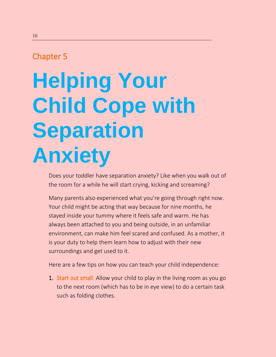# **Helping Your Child Cope with Separation Anxiety**

Does your toddler have separation anxiety? Like when you walk out of the room for a while he will start crying, kicking and screaming?

Many parents also experienced what you're going through right now. Your child might be acting that way because for nine months, he stayed inside your tummy where it feels safe and warm. He has always been attached to you and being outside, in an unfamiliar environment, can make him feel scared and confused. As a mother, it is your duty to help them learn how to adjust with their new surroundings and get used to it.

Here are a few tips on how you can teach your child independence:

1. Start out small. Allow your child to play in the living room as you go to the next room (which has to be in eye view) to do a certain task such as folding clothes.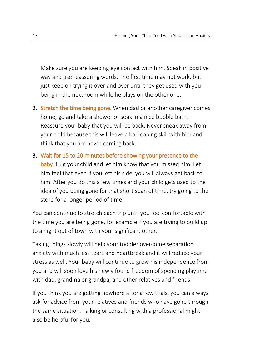Make sure you are keeping eye contact with him. Speak in positive way and use reassuring words. The first time may not work, but just keep on trying it over and over until they get used with you being in the next room while he plays on the other one.

- 2. Stretch the time being gone. When dad or another caregiver comes home, go and take a shower or soak in a nice bubble bath. Reassure your baby that you will be back. Never sneak away from your child because this will leave a bad coping skill with him and think that you are never coming back.
- 3. Wait for 15 to 20 minutes before showing your presence to the baby. Hug your child and let him know that you missed him. Let him feel that even if you left his side, you will always get back to him. After you do this a few times and your child gets used to the idea of you being gone for that short span of time, try going to the store for a longer period of time.

You can continue to stretch each trip until you feel comfortable with the time you are being gone, for example if you are trying to build up to a night out of town with your significant other.

Taking things slowly will help your toddler overcome separation anxiety with much less tears and heartbreak and it will reduce your stress as well. Your baby will continue to grow his independence from you and will soon love his newly found freedom of spending playtime with dad, grandma or grandpa, and other relatives and friends.

If you think you are getting nowhere after a few trials, you can always ask for advice from your relatives and friends who have gone through the same situation. Talking or consulting with a professional might also be helpful for you.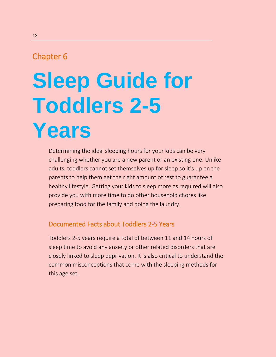## **Sleep Guide for Toddlers 2-5 Years**

Determining the ideal sleeping hours for your kids can be very challenging whether you are a new parent or an existing one. Unlike adults, toddlers cannot set themselves up for sleep so it's up on the parents to help them get the right amount of rest to guarantee a healthy lifestyle. Getting your kids to sleep more as required will also provide you with more time to do other household chores like preparing food for the family and doing the laundry.

### Documented Facts about Toddlers 2-5 Years

Toddlers 2-5 years require a total of between 11 and 14 hours of sleep time to avoid any anxiety or other related disorders that are closely linked to sleep deprivation. It is also critical to understand the common misconceptions that come with the sleeping methods for this age set.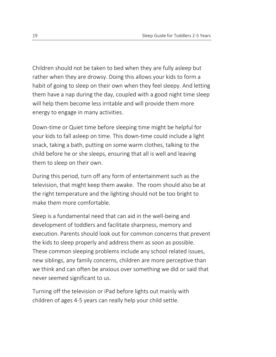Children should not be taken to bed when they are fully asleep but rather when they are drowsy. Doing this allows your kids to form a habit of going to sleep on their own when they feel sleepy. And letting them have a nap during the day, coupled with a good night time sleep will help them become less irritable and will provide them more energy to engage in many activities.

Down-time or Quiet time before sleeping time might be helpful for your kids to fall asleep on time. This down-time could include a light snack, taking a bath, putting on some warm clothes, talking to the child before he or she sleeps, ensuring that all is well and leaving them to sleep on their own.

During this period, turn off any form of entertainment such as the television, that might keep them awake. The room should also be at the right temperature and the lighting should not be too bright to make them more comfortable.

Sleep is a fundamental need that can aid in the well-being and development of toddlers and facilitate sharpness, memory and execution. Parents should look out for common concerns that prevent the kids to sleep properly and address them as soon as possible. These common sleeping problems include any school related issues, new siblings, any family concerns, children are more perceptive than we think and can often be anxious over something we did or said that never seemed significant to us.

Turning off the television or iPad before lights out mainly with children of ages 4-5 years can really help your child settle.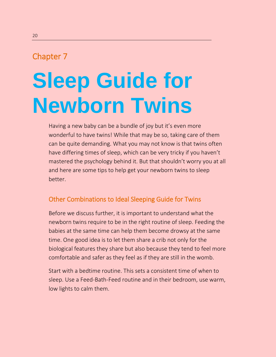## **Sleep Guide for Newborn Twins**

Having a new baby can be a bundle of joy but it's even more wonderful to have twins! While that may be so, taking care of them can be quite demanding. What you may not know is that twins often have differing times of sleep, which can be very tricky if you haven't mastered the psychology behind it. But that shouldn't worry you at all and here are some tips to help get your newborn twins to sleep better.

### Other Combinations to Ideal Sleeping Guide for Twins

Before we discuss further, it is important to understand what the newborn twins require to be in the right routine of sleep. Feeding the babies at the same time can help them become drowsy at the same time. One good idea is to let them share a crib not only for the biological features they share but also because they tend to feel more comfortable and safer as they feel as if they are still in the womb.

Start with a bedtime routine. This sets a consistent time of when to sleep. Use a Feed-Bath-Feed routine and in their bedroom, use warm, low lights to calm them.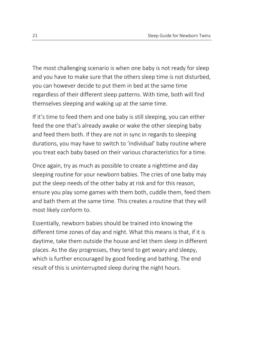The most challenging scenario is when one baby is not ready for sleep and you have to make sure that the others sleep time is not disturbed, you can however decide to put them in bed at the same time regardless of their different sleep patterns. With time, both will find themselves sleeping and waking up at the same time.

If it's time to feed them and one baby is still sleeping, you can either feed the one that's already awake or wake the other sleeping baby and feed them both. If they are not in sync in regards to sleeping durations, you may have to switch to 'individual' baby routine where you treat each baby based on their various characteristics for a time.

Once again, try as much as possible to create a nighttime and day sleeping routine for your newborn babies. The cries of one baby may put the sleep needs of the other baby at risk and for this reason, ensure you play some games with them both, cuddle them, feed them and bath them at the same time. This creates a routine that they will most likely conform to.

Essentially, newborn babies should be trained into knowing the different time zones of day and night. What this means is that, if it is daytime, take them outside the house and let them sleep in different places. As the day progresses, they tend to get weary and sleepy, which is further encouraged by good feeding and bathing. The end result of this is uninterrupted sleep during the night hours.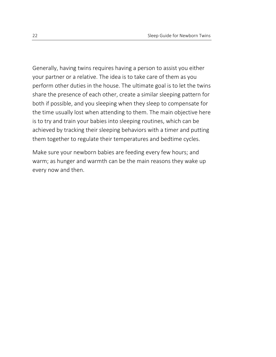Generally, having twins requires having a person to assist you either your partner or a relative. The idea is to take care of them as you perform other duties in the house. The ultimate goal is to let the twins share the presence of each other, create a similar sleeping pattern for both if possible, and you sleeping when they sleep to compensate for the time usually lost when attending to them. The main objective here is to try and train your babies into sleeping routines, which can be achieved by tracking their sleeping behaviors with a timer and putting them together to regulate their temperatures and bedtime cycles.

Make sure your newborn babies are feeding every few hours; and warm; as hunger and warmth can be the main reasons they wake up every now and then.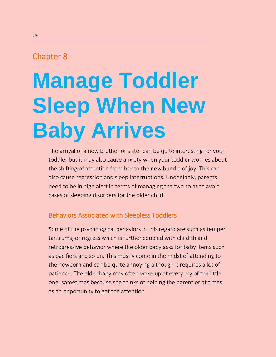# **Manage Toddler Sleep When New Baby Arrives**

The arrival of a new brother or sister can be quite interesting for your toddler but it may also cause anxiety when your toddler worries about the shifting of attention from her to the new bundle of joy. This can also cause regression and sleep interruptions. Undeniably, parents need to be in high alert in terms of managing the two so as to avoid cases of sleeping disorders for the older child.

### Behaviors Associated with Sleepless Toddlers

Some of the psychological behaviors in this regard are such as temper tantrums, or regress which is further coupled with childish and retrogressive behavior where the older baby asks for baby items such as pacifiers and so on. This mostly come in the midst of attending to the newborn and can be quite annoying although it requires a lot of patience. The older baby may often wake up at every cry of the little one, sometimes because she thinks of helping the parent or at times as an opportunity to get the attention.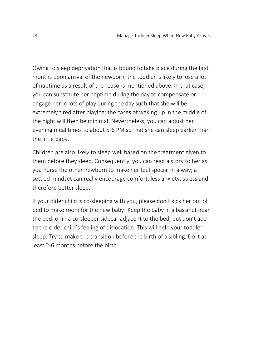Owing to sleep deprivation that is bound to take place during the first months upon arrival of the newborn, the toddler is likely to lose a lot of naptime as a result of the reasons mentioned above. In that case, you can substitute her naptime during the day to compensate or engage her in lots of play during the day such that she will be extremely tired after playing; the cases of waking up in the middle of the night will then be minimal. Nevertheless, you can adjust her evening meal times to about 5-6 PM so that she can sleep earlier than the little baby.

Children are also likely to sleep well based on the treatment given to them before they sleep. Consequently, you can read a story to her as you nurse the other newborn to make her feel special in a way; a settled mindset can really encourage comfort, less anxiety, stress and therefore better sleep.

If your older child is co-sleeping with you, please don't kick her out of bed to make room for the new baby! Keep the baby in a bassinet near the bed, or in a co-sleeper sidecar adjacent to the bed, but don't add to the older child's feeling of dislocation. This will help your toddler sleep. Try to make the transition before the birth of a sibling. Do it at least 2-6 months before the birth.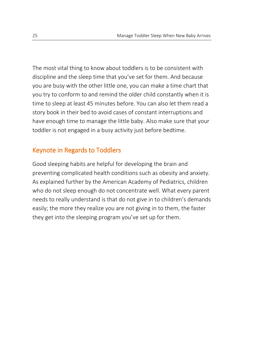The most vital thing to know about toddlers is to be consistent with discipline and the sleep time that you've set for them. And because you are busy with the other little one, you can make a time chart that you try to conform to and remind the older child constantly when it is time to sleep at least 45 minutes before. You can also let them read a story book in their bed to avoid cases of constant interruptions and have enough time to manage the little baby. Also make sure that your toddler is not engaged in a busy activity just before bedtime.

### Keynote in Regards to Toddlers

Good sleeping habits are helpful for developing the brain and preventing complicated health conditions such as obesity and anxiety. As explained further by the American Academy of Pediatrics, children who do not sleep enough do not concentrate well. What every parent needs to really understand is that do not give in to children's demands easily; the more they realize you are not giving in to them, the faster they get into the sleeping program you've set up for them.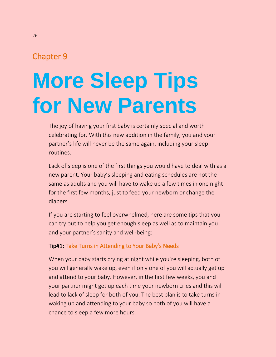## **More Sleep Tips for New Parents**

The joy of having your first baby is certainly special and worth celebrating for. With this new addition in the family, you and your partner's life will never be the same again, including your sleep routines.

Lack of sleep is one of the first things you would have to deal with as a new parent. Your baby's sleeping and eating schedules are not the same as adults and you will have to wake up a few times in one night for the first few months, just to feed your newborn or change the diapers.

If you are starting to feel overwhelmed, here are some tips that you can try out to help you get enough sleep as well as to maintain you and your partner's sanity and well-being:

#### Tip#1: Take Turns in Attending to Your Baby's Needs

When your baby starts crying at night while you're sleeping, both of you will generally wake up, even if only one of you will actually get up and attend to your baby. However, in the first few weeks, you and your partner might get up each time your newborn cries and this will lead to lack of sleep for both of you. The best plan is to take turns in waking up and attending to your baby so both of you will have a chance to sleep a few more hours.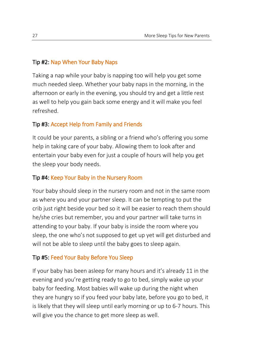#### Tip #2: Nap When Your Baby Naps

Taking a nap while your baby is napping too will help you get some much needed sleep. Whether your baby naps in the morning, in the afternoon or early in the evening, you should try and get a little rest as well to help you gain back some energy and it will make you feel refreshed.

#### Tip #3: Accept Help from Family and Friends

It could be your parents, a sibling or a friend who's offering you some help in taking care of your baby. Allowing them to look after and entertain your baby even for just a couple of hours will help you get the sleep your body needs.

#### Tip #4: Keep Your Baby in the Nursery Room

Your baby should sleep in the nursery room and not in the same room as where you and your partner sleep. It can be tempting to put the crib just right beside your bed so it will be easier to reach them should he/she cries but remember, you and your partner will take turns in attending to your baby. If your baby is inside the room where you sleep, the one who's not supposed to get up yet will get disturbed and will not be able to sleep until the baby goes to sleep again.

#### Tip #5: Feed Your Baby Before You Sleep

If your baby has been asleep for many hours and it's already 11 in the evening and you're getting ready to go to bed, simply wake up your baby for feeding. Most babies will wake up during the night when they are hungry so if you feed your baby late, before you go to bed, it is likely that they will sleep until early morning or up to 6-7 hours. This will give you the chance to get more sleep as well.